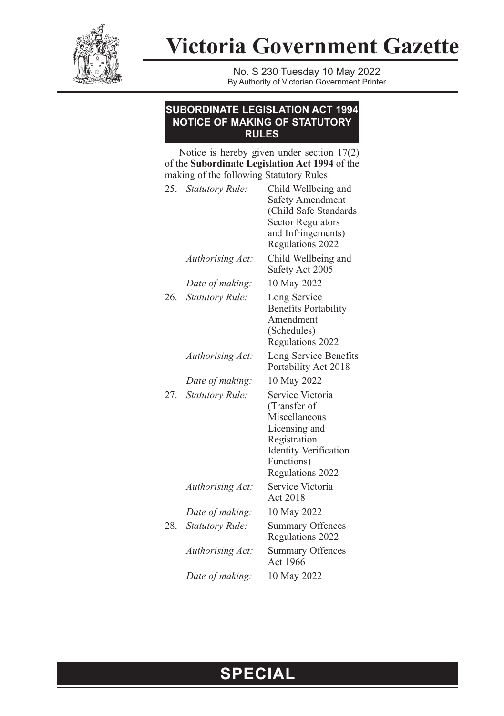

**Victoria Government Gazette**

No. S 230 Tuesday 10 May 2022 By Authority of Victorian Government Printer

## **SUBORDINATE LEGISLATION ACT 1994 NOTICE OF MAKING OF STATUTORY RULES**

Notice is hereby given under section 17(2) of the **Subordinate Legislation Act 1994** of the making of the following Statutory Rules:

|     | 25. Statutory Rule:    | Child Wellbeing and<br><b>Safety Amendment</b><br>(Child Safe Standards<br><b>Sector Regulators</b><br>and Infringements)<br>Regulations 2022        |
|-----|------------------------|------------------------------------------------------------------------------------------------------------------------------------------------------|
|     | Authorising Act:       | Child Wellbeing and<br>Safety Act 2005                                                                                                               |
|     | Date of making:        | 10 May 2022                                                                                                                                          |
| 26. | <b>Statutory Rule:</b> | Long Service<br><b>Benefits Portability</b><br>Amendment<br>(Schedules)<br>Regulations 2022                                                          |
|     | Authorising Act:       | Long Service Benefits<br>Portability Act 2018                                                                                                        |
|     | Date of making:        | 10 May 2022                                                                                                                                          |
| 27. | <b>Statutory Rule:</b> | Service Victoria<br>(Transfer of<br>Miscellaneous<br>Licensing and<br>Registration<br><b>Identity Verification</b><br>Functions)<br>Regulations 2022 |
|     | Authorising Act:       | Service Victoria<br>Act 2018                                                                                                                         |
|     | Date of making:        | 10 May 2022                                                                                                                                          |
| 28. | <b>Statutory Rule:</b> | Summary Offences<br>Regulations 2022                                                                                                                 |
|     | Authorising Act:       | <b>Summary Offences</b><br>Act 1966                                                                                                                  |
|     | Date of making:        | 10 May 2022                                                                                                                                          |

## **SPECIAL**